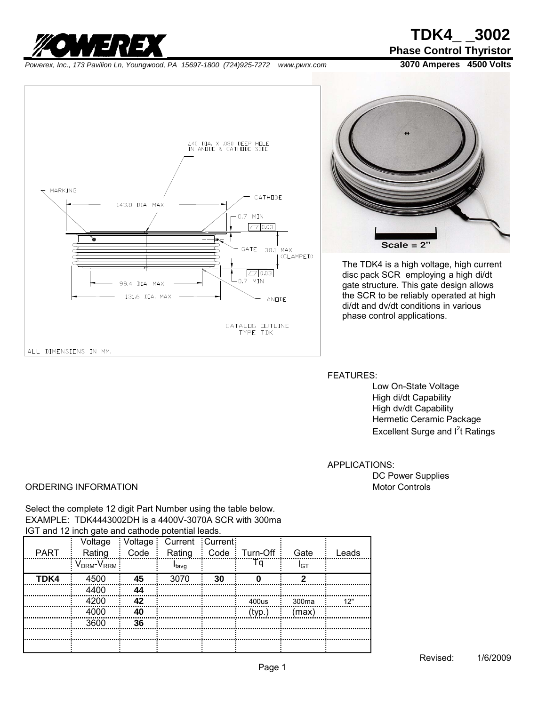

*[Powerex, Inc., 173 Pavilion Ln, Youngwood, PA](http://www.pwrx.com/Home.aspx) 15697-1800 (724)925-7272 www.pwrx.com* **3070 Amperes 4500 Volts**

**Phase Control Thyristor**





The TDK4 is a high voltage, high current disc pack SCR employing a high di/dt gate structure. This gate design allows the SCR to be reliably operated at high di/dt and dv/dt conditions in various phase control applications.

FEATURES:

Low On-State Voltage High di/dt Capability High dv/dt Capability Hermetic Ceramic Package Excellent Surge and I<sup>2</sup>t Ratings

APPLICATIONS:

DC Power Supplies

### ORDERING INFORMATION **Motor Controls** Motor Controls

Select the complete 12 digit Part Number using the table below. EXAMPLE: TDK4443002DH is a 4400V-3070A SCR with 300ma IGT and 12 inch gate and cathode potential leads.

|             |                       |         | Current                   | Current |               |       |         |
|-------------|-----------------------|---------|---------------------------|---------|---------------|-------|---------|
| <b>PART</b> | Rating                | Code    | Rating                    |         | Code Turn-Off | Gate  | eads    |
|             | DRM <sup>-V</sup> RRM |         | "tavq                     |         |               | החו   |         |
| TDK4<br>    |                       |         |                           |         |               |       |         |
|             |                       |         |                           |         |               |       |         |
|             |                       | מג<br>. | ,,,,,,,,,,,,,,,,,,,,,,,,, |         | 400us         | 300ma | 12"<br> |
|             |                       | 40      | .                         |         | (tvn          | max'  |         |
|             | 3600                  | 36<br>  |                           |         |               |       |         |
|             |                       |         |                           |         |               |       |         |
|             |                       |         |                           |         |               |       |         |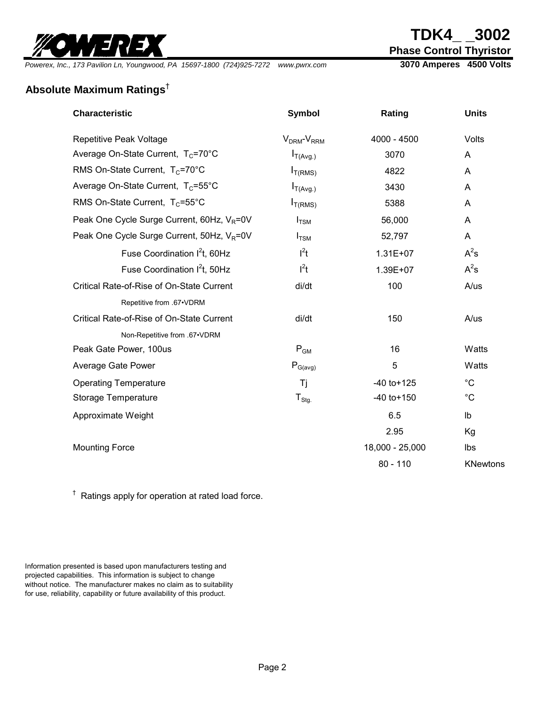

# **TDK4\_ \_3002**

**Phase Control Thyristor**

*Powerex, Inc., 173 Pavilion Ln, Youngwood, PA 15697-1800 (724)925-7272 www.pwrx.com* **3070 Amperes 4500 Volts**

## **Absolute Maximum Ratings**†

| Repetitive Peak Voltage<br>4000 - 4500<br>Volts<br>$VDRM-VRRM$<br>Average On-State Current, T <sub>c</sub> =70°C<br>3070<br>$I_{T(Avg.)}$<br>A<br>RMS On-State Current, $T_c$ =70°C<br>4822<br>$I_{T(RMS)}$<br>A<br>Average On-State Current, T <sub>c</sub> =55°C<br>3430<br>$I_{T(Avg.)}$<br>A<br>RMS On-State Current, $T_c = 55^{\circ}$ C<br>5388<br>$I_{T(RMS)}$<br>Α<br>Peak One Cycle Surge Current, 60Hz, V <sub>R</sub> =0V<br>56,000<br>$I_{TSM}$<br>A<br>Peak One Cycle Surge Current, 50Hz, V <sub>R</sub> =0V<br>52,797<br>A<br>$I_{TSM}$<br>$l^2t$<br>$A^2s$<br>Fuse Coordination I <sup>2</sup> t, 60Hz<br>$1.31E + 07$<br>Fuse Coordination I <sup>2</sup> t, 50Hz<br>$l^2t$<br>$A^2s$<br>1.39E+07<br>100<br>Critical Rate-of-Rise of On-State Current<br>di/dt<br>A/us<br>Repetitive from .67•VDRM<br>Critical Rate-of-Rise of On-State Current<br>di/dt<br>150<br>A/us<br>Non-Repetitive from .67•VDRM<br>$P_{GM}$<br>16<br>Watts<br>Peak Gate Power, 100us<br>5<br>Watts<br>Average Gate Power<br>$P_{G(\text{avg})}$<br>$^{\circ}C$<br>$-40$ to $+125$<br><b>Operating Temperature</b><br>Τj<br>$^{\circ}C$<br>$T_{\text{Stg.}}$<br>$-40$ to $+150$<br>Storage Temperature<br>6.5<br>Approximate Weight<br>Ib<br>2.95<br>Kg<br>18,000 - 25,000<br><b>Mounting Force</b><br>lbs<br>$80 - 110$<br><b>KNewtons</b> | <b>Characteristic</b> | <b>Symbol</b> | Rating | <b>Units</b> |
|--------------------------------------------------------------------------------------------------------------------------------------------------------------------------------------------------------------------------------------------------------------------------------------------------------------------------------------------------------------------------------------------------------------------------------------------------------------------------------------------------------------------------------------------------------------------------------------------------------------------------------------------------------------------------------------------------------------------------------------------------------------------------------------------------------------------------------------------------------------------------------------------------------------------------------------------------------------------------------------------------------------------------------------------------------------------------------------------------------------------------------------------------------------------------------------------------------------------------------------------------------------------------------------------------------------------------------------|-----------------------|---------------|--------|--------------|
|                                                                                                                                                                                                                                                                                                                                                                                                                                                                                                                                                                                                                                                                                                                                                                                                                                                                                                                                                                                                                                                                                                                                                                                                                                                                                                                                      |                       |               |        |              |
|                                                                                                                                                                                                                                                                                                                                                                                                                                                                                                                                                                                                                                                                                                                                                                                                                                                                                                                                                                                                                                                                                                                                                                                                                                                                                                                                      |                       |               |        |              |
|                                                                                                                                                                                                                                                                                                                                                                                                                                                                                                                                                                                                                                                                                                                                                                                                                                                                                                                                                                                                                                                                                                                                                                                                                                                                                                                                      |                       |               |        |              |
|                                                                                                                                                                                                                                                                                                                                                                                                                                                                                                                                                                                                                                                                                                                                                                                                                                                                                                                                                                                                                                                                                                                                                                                                                                                                                                                                      |                       |               |        |              |
|                                                                                                                                                                                                                                                                                                                                                                                                                                                                                                                                                                                                                                                                                                                                                                                                                                                                                                                                                                                                                                                                                                                                                                                                                                                                                                                                      |                       |               |        |              |
|                                                                                                                                                                                                                                                                                                                                                                                                                                                                                                                                                                                                                                                                                                                                                                                                                                                                                                                                                                                                                                                                                                                                                                                                                                                                                                                                      |                       |               |        |              |
|                                                                                                                                                                                                                                                                                                                                                                                                                                                                                                                                                                                                                                                                                                                                                                                                                                                                                                                                                                                                                                                                                                                                                                                                                                                                                                                                      |                       |               |        |              |
|                                                                                                                                                                                                                                                                                                                                                                                                                                                                                                                                                                                                                                                                                                                                                                                                                                                                                                                                                                                                                                                                                                                                                                                                                                                                                                                                      |                       |               |        |              |
|                                                                                                                                                                                                                                                                                                                                                                                                                                                                                                                                                                                                                                                                                                                                                                                                                                                                                                                                                                                                                                                                                                                                                                                                                                                                                                                                      |                       |               |        |              |
|                                                                                                                                                                                                                                                                                                                                                                                                                                                                                                                                                                                                                                                                                                                                                                                                                                                                                                                                                                                                                                                                                                                                                                                                                                                                                                                                      |                       |               |        |              |
|                                                                                                                                                                                                                                                                                                                                                                                                                                                                                                                                                                                                                                                                                                                                                                                                                                                                                                                                                                                                                                                                                                                                                                                                                                                                                                                                      |                       |               |        |              |
|                                                                                                                                                                                                                                                                                                                                                                                                                                                                                                                                                                                                                                                                                                                                                                                                                                                                                                                                                                                                                                                                                                                                                                                                                                                                                                                                      |                       |               |        |              |
|                                                                                                                                                                                                                                                                                                                                                                                                                                                                                                                                                                                                                                                                                                                                                                                                                                                                                                                                                                                                                                                                                                                                                                                                                                                                                                                                      |                       |               |        |              |
|                                                                                                                                                                                                                                                                                                                                                                                                                                                                                                                                                                                                                                                                                                                                                                                                                                                                                                                                                                                                                                                                                                                                                                                                                                                                                                                                      |                       |               |        |              |
|                                                                                                                                                                                                                                                                                                                                                                                                                                                                                                                                                                                                                                                                                                                                                                                                                                                                                                                                                                                                                                                                                                                                                                                                                                                                                                                                      |                       |               |        |              |
|                                                                                                                                                                                                                                                                                                                                                                                                                                                                                                                                                                                                                                                                                                                                                                                                                                                                                                                                                                                                                                                                                                                                                                                                                                                                                                                                      |                       |               |        |              |
|                                                                                                                                                                                                                                                                                                                                                                                                                                                                                                                                                                                                                                                                                                                                                                                                                                                                                                                                                                                                                                                                                                                                                                                                                                                                                                                                      |                       |               |        |              |
|                                                                                                                                                                                                                                                                                                                                                                                                                                                                                                                                                                                                                                                                                                                                                                                                                                                                                                                                                                                                                                                                                                                                                                                                                                                                                                                                      |                       |               |        |              |
|                                                                                                                                                                                                                                                                                                                                                                                                                                                                                                                                                                                                                                                                                                                                                                                                                                                                                                                                                                                                                                                                                                                                                                                                                                                                                                                                      |                       |               |        |              |
|                                                                                                                                                                                                                                                                                                                                                                                                                                                                                                                                                                                                                                                                                                                                                                                                                                                                                                                                                                                                                                                                                                                                                                                                                                                                                                                                      |                       |               |        |              |
|                                                                                                                                                                                                                                                                                                                                                                                                                                                                                                                                                                                                                                                                                                                                                                                                                                                                                                                                                                                                                                                                                                                                                                                                                                                                                                                                      |                       |               |        |              |

<sup>†</sup> Ratings apply for operation at rated load force.

Information presented is based upon manufacturers testing and projected capabilities. This information is subject to change without notice. The manufacturer makes no claim as to suitability for use, reliability, capability or future availability of this product.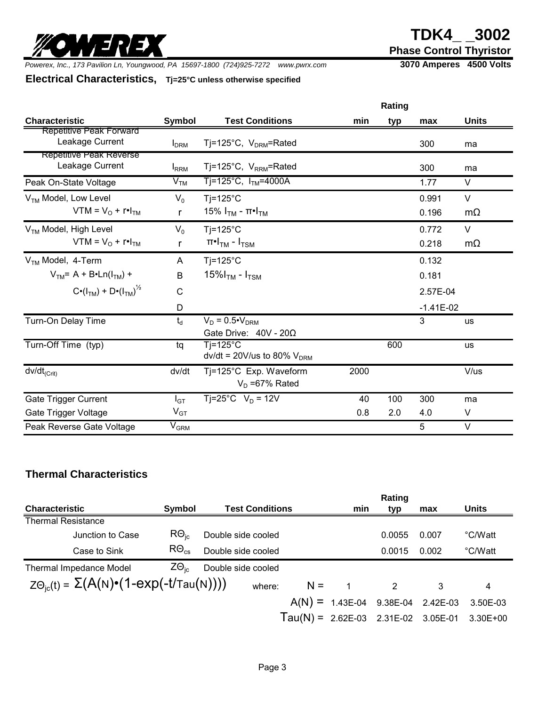# **TDK4\_ \_3002**

**Phase Control Thyristor**

*Powerex, Inc., 173 Pavilion Ln, Youngwood, PA 15697-1800 (724)925-7272 www.pwrx.com* **3070 Amperes 4500 Volts**

WEREX

### **Electrical Characteristics, Tj=25°C unless otherwise specified**

|                                                               |                             |                                                                |      | Rating |                |                     |
|---------------------------------------------------------------|-----------------------------|----------------------------------------------------------------|------|--------|----------------|---------------------|
| <b>Characteristic</b>                                         | Symbol                      | <b>Test Conditions</b>                                         | min  | typ    | max            | <b>Units</b>        |
| Repetitive Peak Forward<br>Leakage Current                    | <b>I</b> <sub>DRM</sub>     | Ti=125°C, $V_{DRM}$ =Rated                                     |      |        | 300            | ma                  |
| Repetitive Peak Reverse<br>Leakage Current                    | $I_{RRM}$                   | Tj=125°C, $V_{RRM}$ =Rated                                     |      |        | 300            | ma                  |
| Peak On-State Voltage                                         | V <sub>TM</sub>             | Tj=125°C, $ITM$ =4000A                                         |      |        | 1.77           | V                   |
| V <sub>TM</sub> Model, Low Level<br>$VTM = VO + r•ITM$        | $V_0$<br>r                  | $Tj = 125^{\circ}C$<br>15% Ι $_{TM}$ - π•Ι $_{TM}$             |      |        | 0.991<br>0.196 | $\vee$<br>$m\Omega$ |
| V <sub>TM</sub> Model, High Level<br>$VTM = VO + r \cdot ITM$ | $V_0$<br>r                  | $Ti=125^{\circ}C$<br>$\pi$ •I <sub>TM</sub> - I <sub>TSM</sub> |      |        | 0.772<br>0.218 | $\vee$<br>$m\Omega$ |
| $VTM$ Model, 4-Term                                           | A                           | $Tj = 125^{\circ}C$                                            |      |        | 0.132          |                     |
| $VTM = A + B \cdot Ln(ITM) +$                                 | B                           | 15% $ITM$ - $ITSM$                                             |      |        | 0.181          |                     |
| $C \cdot (I_{TM}) + D \cdot (I_{TM})^{1/2}$                   | $\mathsf{C}$                |                                                                |      |        | 2.57E-04       |                     |
|                                                               | D                           |                                                                |      |        | $-1.41E-02$    |                     |
| Turn-On Delay Time                                            | $t_d$                       | $V_D = 0.5 \cdot V_{DRM}$<br>Gate Drive: $40V - 20\Omega$      |      |        | 3              | <b>us</b>           |
| Turn-Off Time (typ)                                           | tq                          | $Ti=125^{\circ}$ C<br>$dv/dt = 20 V/us$ to 80% $VDRM$          |      | 600    |                | <b>us</b>           |
| $dv/dt_{(Crit)}$                                              | dv/dt                       | Tj=125°C Exp. Waveform<br>$V_D = 67\%$ Rated                   | 2000 |        |                | V/us                |
| Gate Trigger Current                                          | $I_{GT}$                    | Tj=25°C $V_D$ = 12V                                            | 40   | 100    | 300            | ma                  |
| Gate Trigger Voltage                                          | $V_{GT}$                    |                                                                | 0.8  | 2.0    | 4.0            | V                   |
| Peak Reverse Gate Voltage                                     | $\mathsf{V}_{\mathsf{GRM}}$ |                                                                |      |        | 5              | V                   |

### **Thermal Characteristics**

|                                                                        |                         |                        |       |                | Rating |                                       |          |
|------------------------------------------------------------------------|-------------------------|------------------------|-------|----------------|--------|---------------------------------------|----------|
| <b>Characteristic</b>                                                  | Symbol                  | <b>Test Conditions</b> |       | min            | typ    | max                                   | Units    |
| <b>Thermal Resistance</b>                                              |                         |                        |       |                |        |                                       |          |
| Junction to Case                                                       | $R\Theta_{\text{ic}}$   | Double side cooled     |       |                | 0.0055 | 0.007                                 | °C/Watt  |
| Case to Sink                                                           | $R\Theta_{\mathrm{cs}}$ | Double side cooled     |       |                | 0.0015 | 0.002                                 | °C/Watt  |
| Thermal Impedance Model                                                | $Z\Theta_{\text{ic}}$   | Double side cooled     |       |                |        |                                       |          |
| $Z\Theta_{\text{ic}}(t) = \Sigma(A(N)\cdot(1-\exp(-t/\text{Tau}(N))))$ |                         | where:                 | $N =$ | $\overline{1}$ | 2      | 3                                     | 4        |
|                                                                        |                         |                        |       |                |        | $A(N) = 1.43E-04$ 9.38E-04 2.42E-03   | 3.50E-03 |
|                                                                        |                         |                        |       |                |        | Tau(N) = $2.62E-03$ 2.31E-02 3.05E-01 | 3.30E+00 |